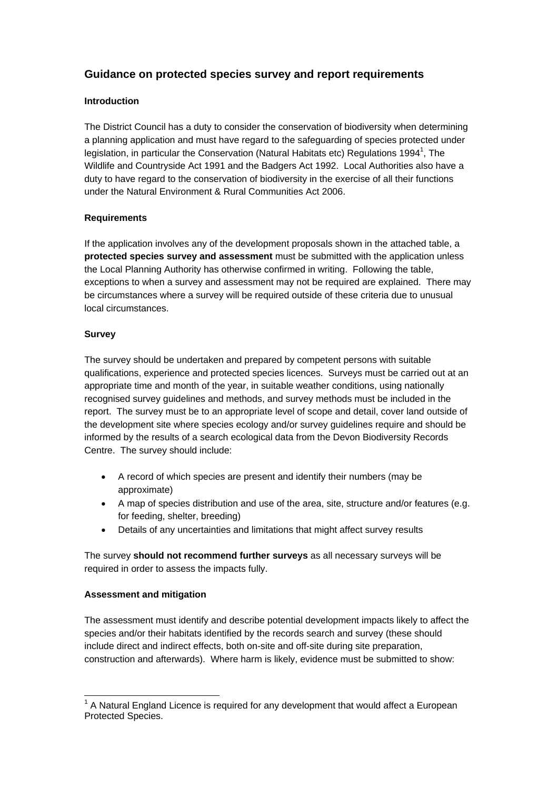# **Guidance on protected species survey and report requirements**

## **Introduction**

The District Council has a duty to consider the conservation of biodiversity when determining a planning application and must have regard to the safeguarding of species protected under legislation, in particular the Conservation (Natural Habitats etc) Regulations 1994<sup>1</sup>, The Wildlife and Countryside Act 1991 and the Badgers Act 1992. Local Authorities also have a duty to have regard to the conservation of biodiversity in the exercise of all their functions under the Natural Environment & Rural Communities Act 2006.

#### **Requirements**

If the application involves any of the development proposals shown in the attached table, a **protected species survey and assessment** must be submitted with the application unless the Local Planning Authority has otherwise confirmed in writing. Following the table, exceptions to when a survey and assessment may not be required are explained. There may be circumstances where a survey will be required outside of these criteria due to unusual local circumstances.

#### **Survey**

The survey should be undertaken and prepared by competent persons with suitable qualifications, experience and protected species licences. Surveys must be carried out at an appropriate time and month of the year, in suitable weather conditions, using nationally recognised survey guidelines and methods, and survey methods must be included in the report. The survey must be to an appropriate level of scope and detail, cover land outside of the development site where species ecology and/or survey guidelines require and should be informed by the results of a search ecological data from the Devon Biodiversity Records Centre. The survey should include:

- A record of which species are present and identify their numbers (may be approximate)
- A map of species distribution and use of the area, site, structure and/or features (e.g. for feeding, shelter, breeding)
- Details of any uncertainties and limitations that might affect survey results

The survey **should not recommend further surveys** as all necessary surveys will be required in order to assess the impacts fully.

## **Assessment and mitigation**

The assessment must identify and describe potential development impacts likely to affect the species and/or their habitats identified by the records search and survey (these should include direct and indirect effects, both on-site and off-site during site preparation, construction and afterwards). Where harm is likely, evidence must be submitted to show:

l  $1$  A Natural England Licence is required for any development that would affect a European Protected Species.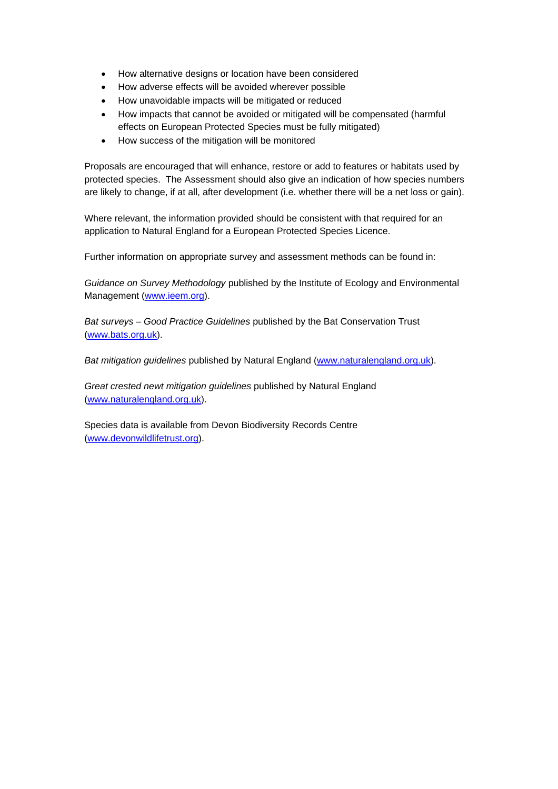- How alternative designs or location have been considered
- How adverse effects will be avoided wherever possible
- How unavoidable impacts will be mitigated or reduced
- How impacts that cannot be avoided or mitigated will be compensated (harmful effects on European Protected Species must be fully mitigated)
- How success of the mitigation will be monitored

Proposals are encouraged that will enhance, restore or add to features or habitats used by protected species. The Assessment should also give an indication of how species numbers are likely to change, if at all, after development (i.e. whether there will be a net loss or gain).

Where relevant, the information provided should be consistent with that required for an application to Natural England for a European Protected Species Licence.

Further information on appropriate survey and assessment methods can be found in:

*Guidance on Survey Methodology* published by the Institute of Ecology and Environmental Management (www.ieem.org).

*Bat surveys – Good Practice Guidelines* published by the Bat Conservation Trust (www.bats.org.uk).

*Bat mitigation guidelines* published by Natural England (www.naturalengland.org.uk).

*Great crested newt mitigation guidelines* published by Natural England (www.naturalengland.org.uk).

Species data is available from Devon Biodiversity Records Centre (www.devonwildlifetrust.org).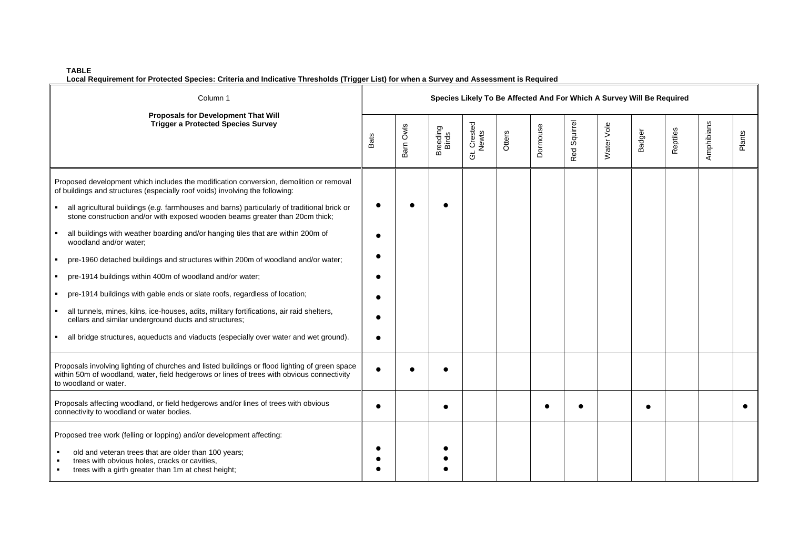#### **TABLE**

**Local Requirement for Protected Species: Criteria and Indicative Thresholds (Trigger List) for when a Survey and Assessment is Required** 

| Column 1<br>Proposals for Development That Will<br><b>Trigger a Protected Species Survey</b>                                                                                                                                                                                                                                                                                                                                                                                                                                                                                                                                                                                                                                                                                                                                                            | Species Likely To Be Affected And For Which A Survey Will Be Required |           |                   |                      |        |          |              |            |        |          |            |        |
|---------------------------------------------------------------------------------------------------------------------------------------------------------------------------------------------------------------------------------------------------------------------------------------------------------------------------------------------------------------------------------------------------------------------------------------------------------------------------------------------------------------------------------------------------------------------------------------------------------------------------------------------------------------------------------------------------------------------------------------------------------------------------------------------------------------------------------------------------------|-----------------------------------------------------------------------|-----------|-------------------|----------------------|--------|----------|--------------|------------|--------|----------|------------|--------|
|                                                                                                                                                                                                                                                                                                                                                                                                                                                                                                                                                                                                                                                                                                                                                                                                                                                         | <b>Bats</b>                                                           | Barn Owls | Breeding<br>Birds | Gt. Crested<br>Newts | Otters | Dormouse | Red Squirrel | Water Vole | Badger | Reptiles | Amphibians | Plants |
| Proposed development which includes the modification conversion, demolition or removal<br>of buildings and structures (especially roof voids) involving the following:<br>all agricultural buildings (e.g. farmhouses and barns) particularly of traditional brick or<br>stone construction and/or with exposed wooden beams greater than 20cm thick;<br>all buildings with weather boarding and/or hanging tiles that are within 200m of<br>woodland and/or water;<br>pre-1960 detached buildings and structures within 200m of woodland and/or water;<br>pre-1914 buildings within 400m of woodland and/or water;<br>pre-1914 buildings with gable ends or slate roofs, regardless of location;<br>all tunnels, mines, kilns, ice-houses, adits, military fortifications, air raid shelters,<br>cellars and similar underground ducts and structures; | $\epsilon$                                                            |           |                   |                      |        |          |              |            |        |          |            |        |
| all bridge structures, aqueducts and viaducts (especially over water and wet ground).                                                                                                                                                                                                                                                                                                                                                                                                                                                                                                                                                                                                                                                                                                                                                                   | $\epsilon$                                                            |           |                   |                      |        |          |              |            |        |          |            |        |
| Proposals involving lighting of churches and listed buildings or flood lighting of green space<br>within 50m of woodland, water, field hedgerows or lines of trees with obvious connectivity<br>to woodland or water.                                                                                                                                                                                                                                                                                                                                                                                                                                                                                                                                                                                                                                   | $\bullet$                                                             |           |                   |                      |        |          |              |            |        |          |            |        |
| Proposals affecting woodland, or field hedgerows and/or lines of trees with obvious<br>connectivity to woodland or water bodies.                                                                                                                                                                                                                                                                                                                                                                                                                                                                                                                                                                                                                                                                                                                        | $\bullet$                                                             |           |                   |                      |        |          |              |            |        |          |            |        |
| Proposed tree work (felling or lopping) and/or development affecting:<br>old and veteran trees that are older than 100 years;<br>trees with obvious holes, cracks or cavities,<br>trees with a girth greater than 1m at chest height;                                                                                                                                                                                                                                                                                                                                                                                                                                                                                                                                                                                                                   |                                                                       |           |                   |                      |        |          |              |            |        |          |            |        |